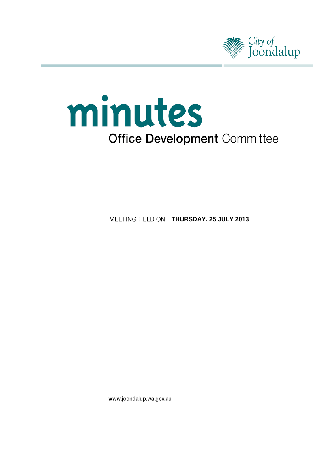

# minutes **Office Development Committee**

**MEETING HELD ON THURSDAY, 25 JULY 2013** 

www.joondalup.wa.gov.au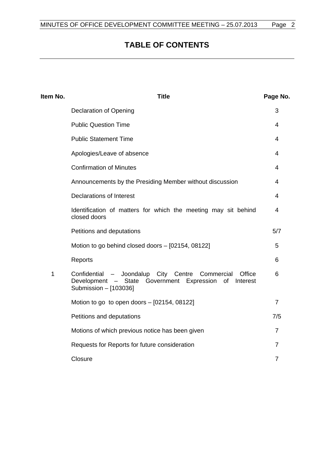# **TABLE OF CONTENTS**

| Item No. | <b>Title</b>                                                                                                                                                  | Page No.       |
|----------|---------------------------------------------------------------------------------------------------------------------------------------------------------------|----------------|
|          | <b>Declaration of Opening</b>                                                                                                                                 | 3              |
|          | <b>Public Question Time</b>                                                                                                                                   | 4              |
|          | <b>Public Statement Time</b>                                                                                                                                  | 4              |
|          | Apologies/Leave of absence                                                                                                                                    | 4              |
|          | <b>Confirmation of Minutes</b>                                                                                                                                | 4              |
|          | Announcements by the Presiding Member without discussion                                                                                                      | 4              |
|          | <b>Declarations of Interest</b>                                                                                                                               | 4              |
|          | Identification of matters for which the meeting may sit behind<br>closed doors                                                                                | 4              |
|          | Petitions and deputations                                                                                                                                     | 5/7            |
|          | Motion to go behind closed doors - [02154, 08122]                                                                                                             | 5              |
|          | Reports                                                                                                                                                       | 6              |
| 1        | Confidential - Joondalup City<br>Centre<br>Office<br>Commercial<br>Development<br>- State<br>Government Expression<br>of<br>Interest<br>Submission - [103036] | 6              |
|          | Motion to go to open doors - [02154, 08122]                                                                                                                   | $\overline{7}$ |
|          | Petitions and deputations                                                                                                                                     | 7/5            |
|          | Motions of which previous notice has been given                                                                                                               | 7              |
|          | Requests for Reports for future consideration                                                                                                                 | $\overline{7}$ |
|          | Closure                                                                                                                                                       | $\overline{7}$ |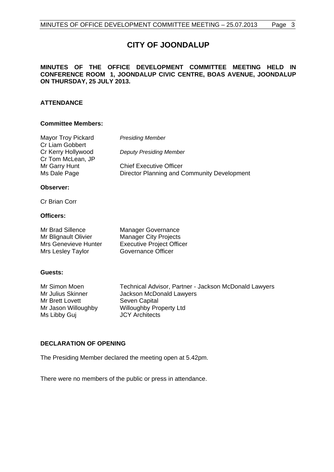# **CITY OF JOONDALUP**

#### **MINUTES OF THE OFFICE DEVELOPMENT COMMITTEE MEETING HELD IN CONFERENCE ROOM 1, JOONDALUP CIVIC CENTRE, BOAS AVENUE, JOONDALUP ON THURSDAY, 25 JULY 2013.**

#### **ATTENDANCE**

#### **Committee Members:**

| Mayor Troy Pickard | <b>Presiding Member</b>                     |  |  |
|--------------------|---------------------------------------------|--|--|
| Cr Liam Gobbert    |                                             |  |  |
| Cr Kerry Hollywood | <b>Deputy Presiding Member</b>              |  |  |
| Cr Tom McLean, JP  |                                             |  |  |
| Mr Garry Hunt      | <b>Chief Executive Officer</b>              |  |  |
| Ms Dale Page       | Director Planning and Community Development |  |  |
|                    |                                             |  |  |

#### **Observer:**

Cr Brian Corr

#### **Officers:**

| Mr Brad Sillence            | <b>Manager Governance</b>        |
|-----------------------------|----------------------------------|
| Mr Blignault Olivier        | <b>Manager City Projects</b>     |
| <b>Mrs Genevieve Hunter</b> | <b>Executive Project Officer</b> |
| Mrs Lesley Taylor           | Governance Officer               |

#### **Guests:**

Mr Simon Moen Technical Advisor, Partner - Jackson McDonald Lawyers<br>Mr Julius Skinner Jackson McDonald Lawyers Jackson McDonald Lawyers Mr Brett Lovett Seven Capital Mr Jason Willoughby Willoughby Property Ltd<br>
Ms Libby Gui 
Willoughby COV Architects Ms Libby Guj

#### <span id="page-2-0"></span>**DECLARATION OF OPENING**

The Presiding Member declared the meeting open at 5.42pm.

There were no members of the public or press in attendance.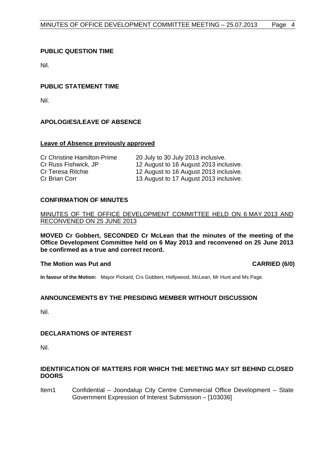### <span id="page-3-0"></span>**PUBLIC QUESTION TIME**

Nil.

#### <span id="page-3-1"></span>**PUBLIC STATEMENT TIME**

Nil.

## <span id="page-3-2"></span>**APOLOGIES/LEAVE OF ABSENCE**

#### **Leave of Absence previously approved**

| <b>Cr Christine Hamilton-Prime</b> | 20 July to 30 July 2013 inclusive.     |
|------------------------------------|----------------------------------------|
| Cr Russ Fishwick, JP               | 12 August to 16 August 2013 inclusive. |
| Cr Teresa Ritchie                  | 12 August to 16 August 2013 inclusive. |
| Cr Brian Corr                      | 13 August to 17 August 2013 inclusive. |

#### <span id="page-3-3"></span>**CONFIRMATION OF MINUTES**

#### MINUTES OF THE OFFICE DEVELOPMENT COMMITTEE HELD ON 6 MAY 2013 AND RECONVENED ON 25 JUNE 2013

**MOVED Cr Gobbert, SECONDED Cr McLean that the minutes of the meeting of the Office Development Committee held on 6 May 2013 and reconvened on 25 June 2013 be confirmed as a true and correct record.**

#### **The Motion was Put and CARRIED (6/0) CARRIED (6/0)**

**In favour of the Motion:** Mayor Pickard, Crs Gobbert, Hollywood, McLean, Mr Hunt and Ms Page.

#### <span id="page-3-4"></span>**ANNOUNCEMENTS BY THE PRESIDING MEMBER WITHOUT DISCUSSION**

Nil.

#### <span id="page-3-5"></span>**DECLARATIONS OF INTEREST**

Nil.

#### <span id="page-3-6"></span>**IDENTIFICATION OF MATTERS FOR WHICH THE MEETING MAY SIT BEHIND CLOSED DOORS**

Item1 Confidential – Joondalup City Centre Commercial Office Development – State Government Expression of Interest Submission – [103036]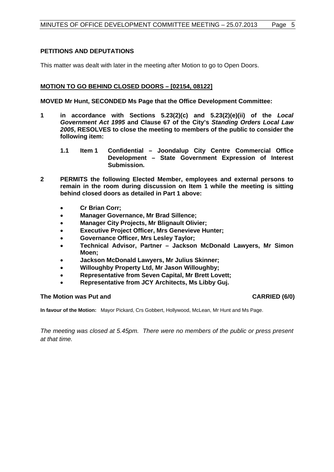### <span id="page-4-0"></span>**PETITIONS AND DEPUTATIONS**

This matter was dealt with later in the meeting after Motion to go to Open Doors.

#### <span id="page-4-1"></span>**MOTION TO GO BEHIND CLOSED DOORS – [02154, 08122]**

**MOVED Mr Hunt, SECONDED Ms Page that the Office Development Committee:**

- **1 in accordance with Sections 5.23(2)(c) and 5.23(2)(e)(ii) of the** *Local Government Act 1995* **and Clause 67 of the City's** *Standing Orders Local Law 2005***, RESOLVES to close the meeting to members of the public to consider the following item:** 
	- **1.1 Item 1 Confidential – Joondalup City Centre Commercial Office Development – State Government Expression of Interest Submission.**
- **2 PERMITS the following Elected Member, employees and external persons to remain in the room during discussion on Item 1 while the meeting is sitting behind closed doors as detailed in Part 1 above:**
	- **Cr Brian Corr;**
	- **Manager Governance, Mr Brad Sillence;**
	- **Manager City Projects, Mr Blignault Olivier;**
	- **Executive Project Officer, Mrs Genevieve Hunter:**
	- **Governance Officer, Mrs Lesley Taylor;**
	- **Technical Advisor, Partner – Jackson McDonald Lawyers, Mr Simon Moen;**
	- **Jackson McDonald Lawyers, Mr Julius Skinner;**
	- **Willoughby Property Ltd, Mr Jason Willoughby;**
	- **Representative from Seven Capital, Mr Brett Lovett;**
	- **Representative from JCY Architects, Ms Libby Guj.**

#### **The Motion was Put and CARRIED (6/0) CARRIED (6/0)**

**In favour of the Motion:** Mayor Pickard, Crs Gobbert, Hollywood, McLean, Mr Hunt and Ms Page.

*The meeting was closed at 5.45pm. There were no members of the public or press present at that time.*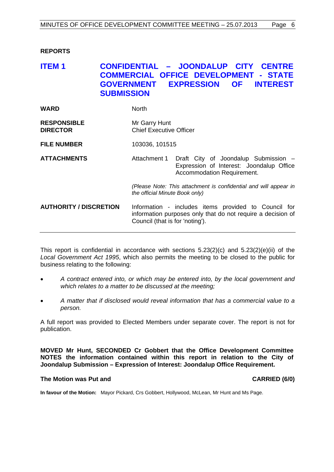## <span id="page-5-0"></span>**REPORTS**

## <span id="page-5-1"></span>**ITEM 1 CONFIDENTIAL – JOONDALUP CITY CENTRE COMMERCIAL OFFICE DEVELOPMENT - STATE GOVERNMENT EXPRESSION OF INTEREST SUBMISSION**

| <b>WARD</b>                           | North                                                                                              |                                                                                                                     |  |
|---------------------------------------|----------------------------------------------------------------------------------------------------|---------------------------------------------------------------------------------------------------------------------|--|
| <b>RESPONSIBLE</b><br><b>DIRECTOR</b> | Mr Garry Hunt<br><b>Chief Executive Officer</b>                                                    |                                                                                                                     |  |
| <b>FILE NUMBER</b>                    | 103036, 101515                                                                                     |                                                                                                                     |  |
| <b>ATTACHMENTS</b>                    | Attachment 1                                                                                       | Draft City of Joondalup Submission -<br>Expression of Interest: Joondalup Office<br>Accommodation Requirement.      |  |
|                                       | (Please Note: This attachment is confidential and will appear in<br>the official Minute Book only) |                                                                                                                     |  |
| <b>AUTHORITY / DISCRETION</b>         | Council (that is for 'noting').                                                                    | Information - includes items provided to Council for<br>information purposes only that do not require a decision of |  |

This report is confidential in accordance with sections 5.23(2)(c) and 5.23(2)(e)(ii) of the *Local Government Act 1995*, which also permits the meeting to be closed to the public for business relating to the following:

- *A contract entered into, or which may be entered into, by the local government and which relates to a matter to be discussed at the meeting;*
- *A matter that if disclosed would reveal information that has a commercial value to a person.*

A full report was provided to Elected Members under separate cover. The report is not for publication.

**MOVED Mr Hunt, SECONDED Cr Gobbert that the Office Development Committee NOTES the information contained within this report in relation to the City of Joondalup Submission – Expression of Interest: Joondalup Office Requirement.**

#### **The Motion was Put and CARRIED (6/0) CARRIED (6/0)**

**In favour of the Motion:** Mayor Pickard, Crs Gobbert, Hollywood, McLean, Mr Hunt and Ms Page.